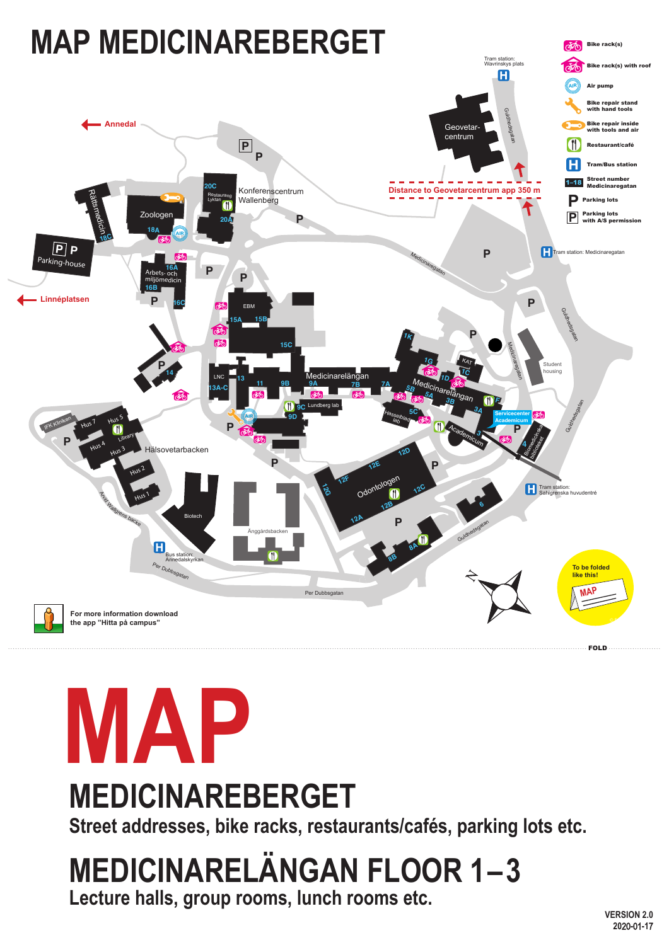

### **MEDICINAREBERGET**

**Street addresses, bike racks, restaurants/cafés, parking lots etc.**

**VERSION 2.0 20**20**-**01**-1**7

#### **MEDICINARELÄNGAN FLOOR 1–3 Lecture halls, group rooms, lunch rooms etc.**